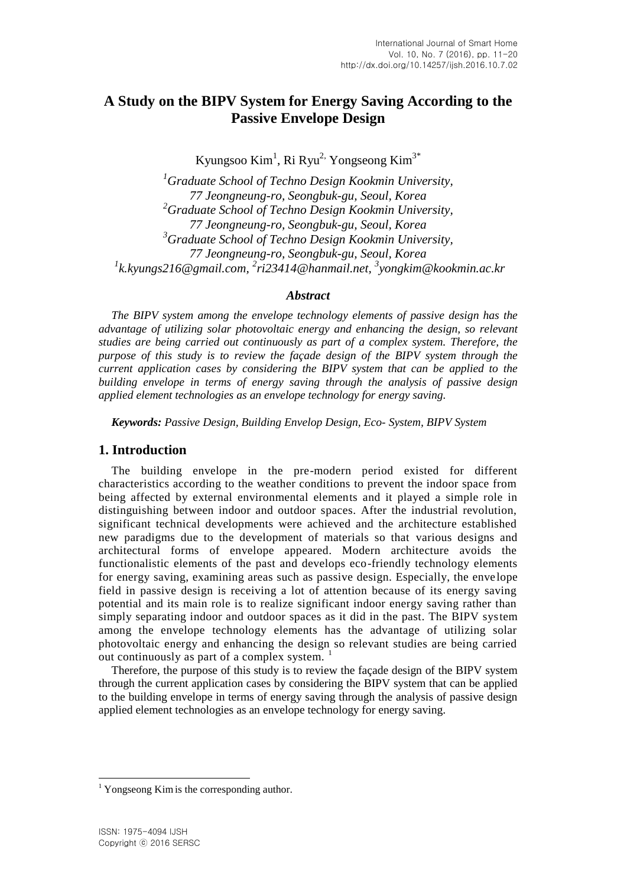# **A Study on the BIPV System for Energy Saving According to the Passive Envelope Design**

Kyungsoo Kim<sup>1</sup>, Ri Ryu<sup>2,</sup> Yongseong Kim<sup>3\*</sup>

*<sup>1</sup>Graduate School of Techno Design Kookmin University, 77 Jeongneung-ro, Seongbuk-gu, Seoul, Korea <sup>2</sup>Graduate School of Techno Design Kookmin University, 77 Jeongneung-ro, Seongbuk-gu, Seoul, Korea <sup>3</sup>Graduate School of Techno Design Kookmin University, 77 Jeongneung-ro, Seongbuk-gu, Seoul, Korea 1 k.kyungs216@gmail.com, 2 ri23414@hanmail.net, 3 yongkim@kookmin.ac.kr*

#### *Abstract*

*The BIPV system among the envelope technology elements of passive design has the advantage of utilizing solar photovoltaic energy and enhancing the design, so relevant studies are being carried out continuously as part of a complex system. Therefore, the purpose of this study is to review the façade design of the BIPV system through the current application cases by considering the BIPV system that can be applied to the building envelope in terms of energy saving through the analysis of passive design applied element technologies as an envelope technology for energy saving.*

*Keywords: Passive Design, Building Envelop Design, Eco- System, BIPV System*

### **1. Introduction**

The building envelope in the pre-modern period existed for different characteristics according to the weather conditions to prevent the indoor space from being affected by external environmental elements and it played a simple role in distinguishing between indoor and outdoor spaces. After the industrial revolution, significant technical developments were achieved and the architecture established new paradigms due to the development of materials so that various designs and architectural forms of envelope appeared. Modern architecture avoids the functionalistic elements of the past and develops eco-friendly technology elements for energy saving, examining areas such as passive design. Especially, the enve lope field in passive design is receiving a lot of attention because of its energy saving potential and its main role is to realize significant indoor energy saving rather than simply separating indoor and outdoor spaces as it did in the past. The BIPV system among the envelope technology elements has the advantage of utilizing solar photovoltaic energy and enhancing the design so relevant studies are being carried out continuously as part of a complex system.

Therefore, the purpose of this study is to review the façade design of the BIPV system through the current application cases by considering the BIPV system that can be applied to the building envelope in terms of energy saving through the analysis of passive design applied element technologies as an envelope technology for energy saving.

l

<sup>&</sup>lt;sup>1</sup> Yongseong Kim is the corresponding author.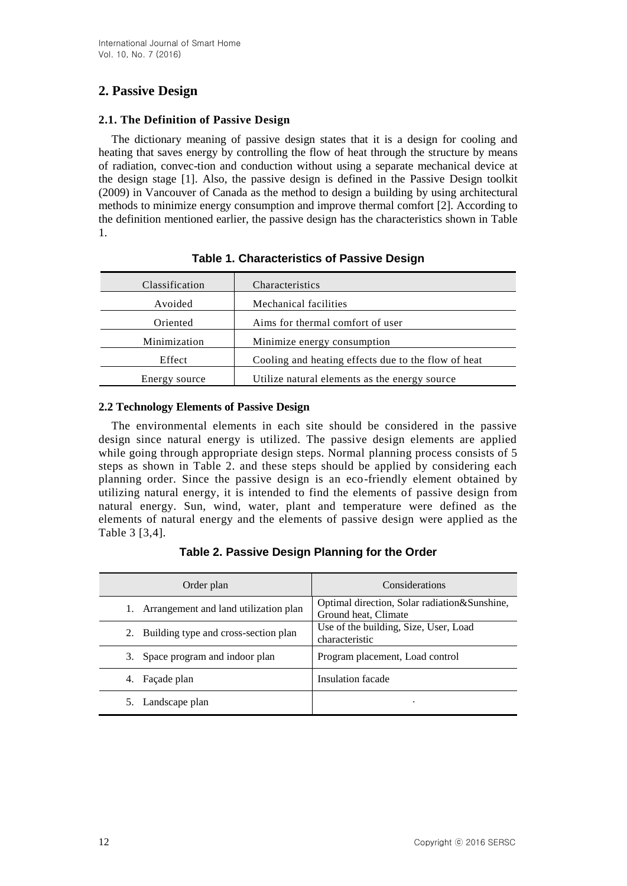# **2. Passive Design**

### **2.1. The Definition of Passive Design**

The dictionary meaning of passive design states that it is a design for cooling and heating that saves energy by controlling the flow of heat through the structure by means of radiation, convec-tion and conduction without using a separate mechanical device at the design stage [1]. Also, the passive design is defined in the Passive Design toolkit (2009) in Vancouver of Canada as the method to design a building by using architectural methods to minimize energy consumption and improve thermal comfort [2]. According to the definition mentioned earlier, the passive design has the characteristics shown in Table 1.

| Classification | Characteristics                                     |
|----------------|-----------------------------------------------------|
| Avoided        | Mechanical facilities                               |
| Oriented       | Aims for thermal comfort of user                    |
| Minimization   | Minimize energy consumption                         |
| Effect         | Cooling and heating effects due to the flow of heat |
| Energy source  | Utilize natural elements as the energy source       |

# **Table 1. Characteristics of Passive Design**

## **2.2 Technology Elements of Passive Design**

The environmental elements in each site should be considered in the passive design since natural energy is utilized. The passive design elements are applied while going through appropriate design steps. Normal planning process consists of 5 steps as shown in Table 2. and these steps should be applied by considering each planning order. Since the passive design is an eco-friendly element obtained by utilizing natural energy, it is intended to find the elements of passive design from natural energy. Sun, wind, water, plant and temperature were defined as the elements of natural energy and the elements of passive design were applied as the Table 3 [3,4].

**Table 2. Passive Design Planning for the Order**

| Order plan                               | Considerations                                                       |
|------------------------------------------|----------------------------------------------------------------------|
| 1. Arrangement and land utilization plan | Optimal direction, Solar radiation&Sunshine,<br>Ground heat, Climate |
| 2. Building type and cross-section plan  | Use of the building, Size, User, Load<br>characteristic              |
| 3. Space program and indoor plan         | Program placement, Load control                                      |
| 4. Façade plan                           | Insulation facade                                                    |
| 5. Landscape plan                        | ٠                                                                    |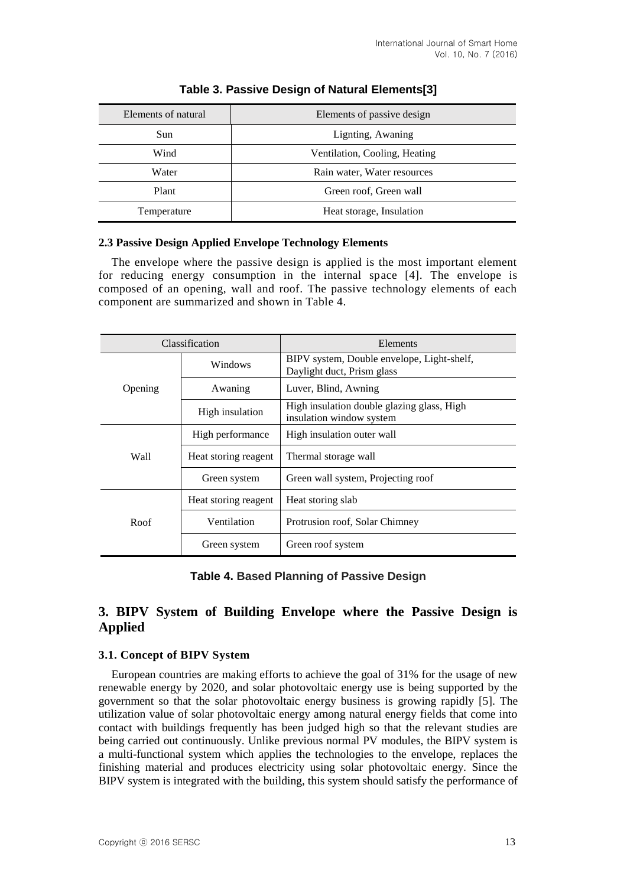| Elements of natural | Elements of passive design    |  |  |  |
|---------------------|-------------------------------|--|--|--|
| Sun                 | Lignting, Awaning             |  |  |  |
| Wind                | Ventilation, Cooling, Heating |  |  |  |
| Water               | Rain water, Water resources   |  |  |  |
| Plant               | Green roof, Green wall        |  |  |  |
| Temperature         | Heat storage, Insulation      |  |  |  |

## **Table 3. Passive Design of Natural Elements[3]**

#### **2.3 Passive Design Applied Envelope Technology Elements**

The envelope where the passive design is applied is the most important element for reducing energy consumption in the internal space [4]. The envelope is composed of an opening, wall and roof. The passive technology elements of each component are summarized and shown in Table 4.

|                  | Classification       | Elements                                                                 |
|------------------|----------------------|--------------------------------------------------------------------------|
| Windows          |                      | BIPV system, Double envelope, Light-shelf,<br>Daylight duct, Prism glass |
| Opening          | Awaning              | Luver, Blind, Awning                                                     |
|                  | High insulation      | High insulation double glazing glass, High<br>insulation window system   |
| High performance |                      | High insulation outer wall                                               |
| Wall             | Heat storing reagent | Thermal storage wall                                                     |
|                  | Green system         | Green wall system, Projecting roof                                       |
|                  | Heat storing reagent | Heat storing slab                                                        |
| Roof             | Ventilation          | Protrusion roof, Solar Chimney                                           |
|                  | Green system         | Green roof system                                                        |

**Table 4. Based Planning of Passive Design**

# **3. BIPV System of Building Envelope where the Passive Design is Applied**

#### **3.1. Concept of BIPV System**

European countries are making efforts to achieve the goal of 31% for the usage of new renewable energy by 2020, and solar photovoltaic energy use is being supported by the government so that the solar photovoltaic energy business is growing rapidly [5]. The utilization value of solar photovoltaic energy among natural energy fields that come into contact with buildings frequently has been judged high so that the relevant studies are being carried out continuously. Unlike previous normal PV modules, the BIPV system is a multi-functional system which applies the technologies to the envelope, replaces the finishing material and produces electricity using solar photovoltaic energy. Since the BIPV system is integrated with the building, this system should satisfy the performance of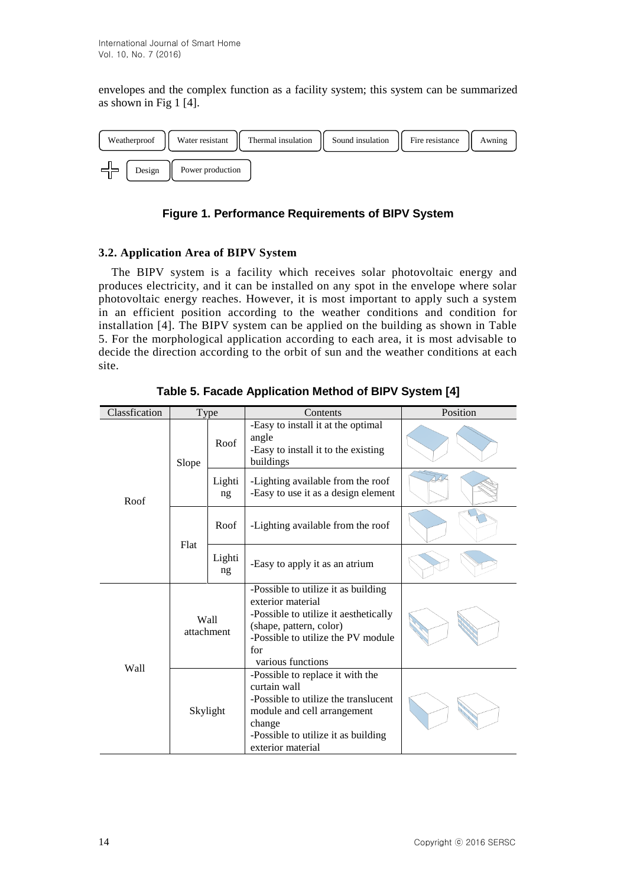envelopes and the complex function as a facility system; this system can be summarized as shown in Fig 1 [4].



## **Figure 1. Performance Requirements of BIPV System**

### **3.2. Application Area of BIPV System**

The BIPV system is a facility which receives solar photovoltaic energy and produces electricity, and it can be installed on any spot in the envelope where solar photovoltaic energy reaches. However, it is most important to apply such a system in an efficient position according to the weather conditions and condition for installation [4]. The BIPV system can be applied on the building as shown in Table 5. For the morphological application according to each area, it is most advisable to decide the direction according to the orbit of sun and the weather conditions at each site.

| Classfication |              | Type                           | Contents                                                                                                                                                                                       | Position |
|---------------|--------------|--------------------------------|------------------------------------------------------------------------------------------------------------------------------------------------------------------------------------------------|----------|
|               | Slope        | Roof                           | -Easy to install it at the optimal<br>angle<br>-Easy to install it to the existing<br>buildings                                                                                                |          |
| Roof          |              | Lighti<br>ng                   | -Lighting available from the roof<br>-Easy to use it as a design element                                                                                                                       |          |
|               | Flat         | Roof                           | -Lighting available from the roof                                                                                                                                                              |          |
|               | Lighti<br>ng | -Easy to apply it as an atrium |                                                                                                                                                                                                |          |
|               |              | Wall<br>attachment             | -Possible to utilize it as building<br>exterior material<br>-Possible to utilize it aesthetically<br>(shape, pattern, color)<br>-Possible to utilize the PV module<br>for<br>various functions |          |
| Wall          |              | Skylight                       | -Possible to replace it with the<br>curtain wall<br>-Possible to utilize the translucent<br>module and cell arrangement<br>change<br>-Possible to utilize it as building<br>exterior material  |          |

**Table 5. Facade Application Method of BIPV System [4]**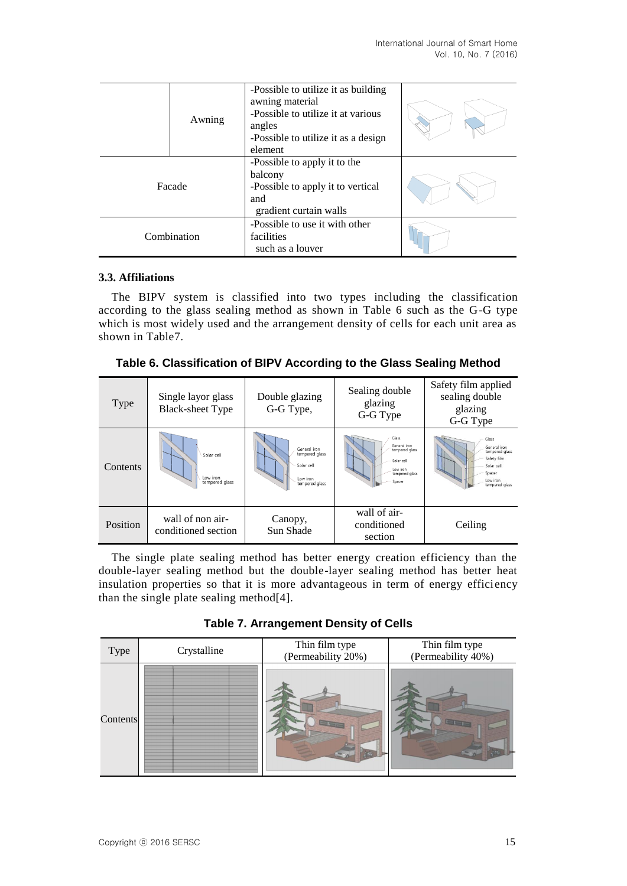|             | Awning | -Possible to utilize it as building<br>awning material<br>-Possible to utilize it at various<br>angles<br>-Possible to utilize it as a design<br>element |  |
|-------------|--------|----------------------------------------------------------------------------------------------------------------------------------------------------------|--|
| Facade      |        | -Possible to apply it to the<br>balcony<br>-Possible to apply it to vertical<br>and<br>gradient curtain walls                                            |  |
| Combination |        | -Possible to use it with other<br>facilities<br>such as a louver                                                                                         |  |

### **3.3. Affiliations**

The BIPV system is classified into two types including the classification according to the glass sealing method as shown in Table 6 such as the G-G type which is most widely used and the arrangement density of cells for each unit area as shown in Table7.

| Type     | Single layor glass<br><b>Black-sheet Type</b> | Double glazing<br>G-G Type,                                                | Sealing double<br>glazing<br>G-G Type                                                         | Safety film applied<br>sealing double<br>glazing<br>G-G Type                                                 |
|----------|-----------------------------------------------|----------------------------------------------------------------------------|-----------------------------------------------------------------------------------------------|--------------------------------------------------------------------------------------------------------------|
| Contents | Solar cell<br>low iron<br>tempered alass      | General iron<br>tempered glass<br>Solar cell<br>Low iron<br>tempered glass | Glass<br>General iron<br>tempered glass<br>Solar cell<br>Low iron<br>tempered glass<br>Spacer | Glass<br>General iron<br>tempered glass<br>Safety film<br>Solar cell<br>Spacer<br>Low iron<br>tempered glass |
| Position | wall of non air-<br>conditioned section       | Canopy,<br>Sun Shade                                                       | wall of air-<br>conditioned<br>section                                                        | Ceiling                                                                                                      |

**Table 6. Classification of BIPV According to the Glass Sealing Method**

The single plate sealing method has better energy creation efficiency than the double-layer sealing method but the double-layer sealing method has better heat insulation properties so that it is more advantageous in term of energy efficiency than the single plate sealing method[4].

**Table 7. Arrangement Density of Cells**

| Type     | Crystalline | Thin film type<br>(Permeability 20%) | Thin film type<br>(Permeability 40%) |
|----------|-------------|--------------------------------------|--------------------------------------|
| Contents |             |                                      |                                      |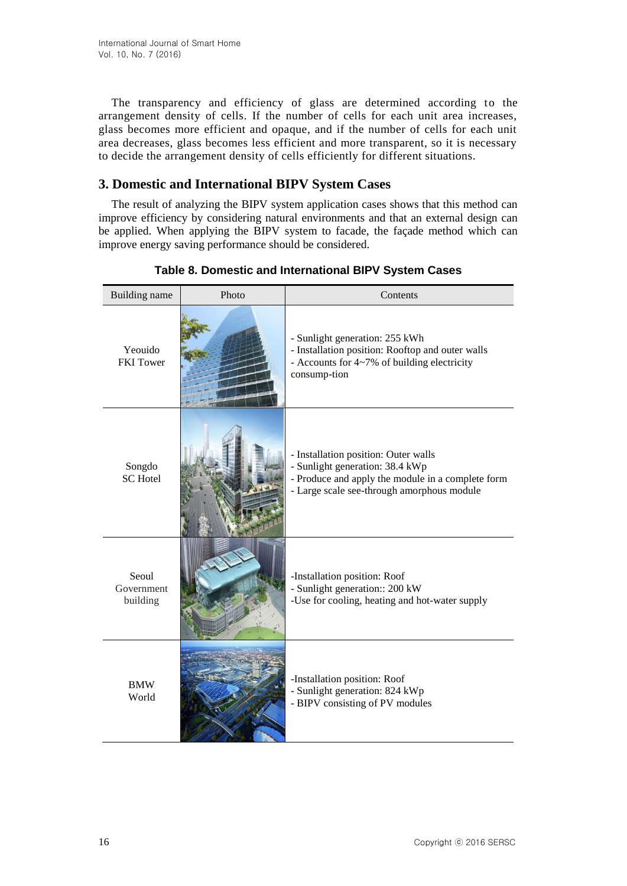The transparency and efficiency of glass are determined according to the arrangement density of cells. If the number of cells for each unit area increases, glass becomes more efficient and opaque, and if the number of cells for each unit area decreases, glass becomes less efficient and more transparent, so it is necessary to decide the arrangement density of cells efficiently for different situations.

# **3. Domestic and International BIPV System Cases**

The result of analyzing the BIPV system application cases shows that this method can improve efficiency by considering natural environments and that an external design can be applied. When applying the BIPV system to facade, the façade method which can improve energy saving performance should be considered.

| Building name                   | Photo | Contents                                                                                                                                                                   |
|---------------------------------|-------|----------------------------------------------------------------------------------------------------------------------------------------------------------------------------|
| Yeouido<br><b>FKI</b> Tower     |       | - Sunlight generation: 255 kWh<br>- Installation position: Rooftop and outer walls<br>- Accounts for 4~7% of building electricity<br>consump-tion                          |
| Songdo<br><b>SC</b> Hotel       |       | - Installation position: Outer walls<br>- Sunlight generation: 38.4 kWp<br>- Produce and apply the module in a complete form<br>- Large scale see-through amorphous module |
| Seoul<br>Government<br>building |       | -Installation position: Roof<br>- Sunlight generation:: 200 kW<br>-Use for cooling, heating and hot-water supply                                                           |
| <b>BMW</b><br>World             |       | -Installation position: Roof<br>- Sunlight generation: 824 kWp<br>- BIPV consisting of PV modules                                                                          |

**Table 8. Domestic and International BIPV System Cases**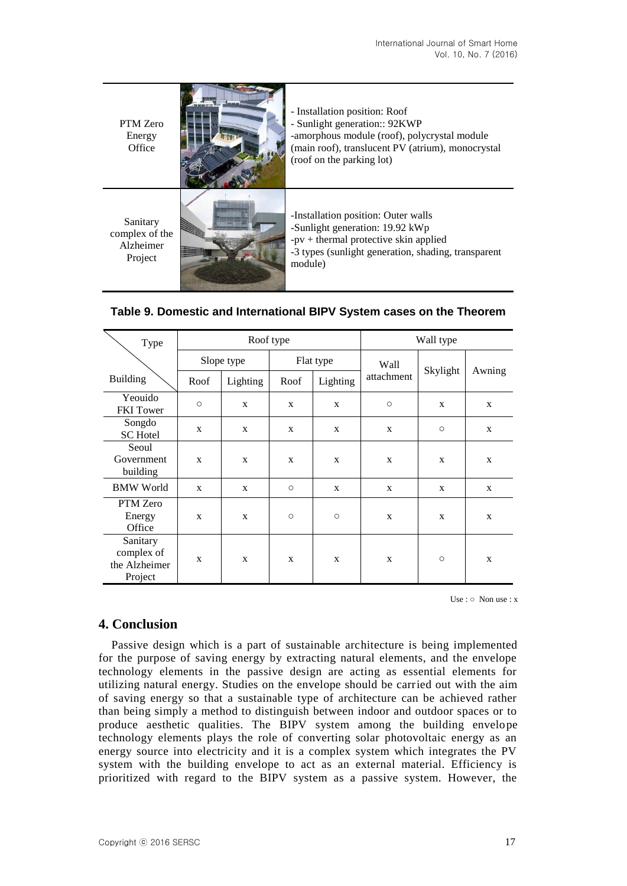| PTM Zero<br>Energy<br>Office                       | - Installation position: Roof<br>- Sunlight generation:: 92KWP<br>-amorphous module (roof), polycrystal module<br>(main roof), translucent PV (atrium), monocrystal<br>(roof on the parking lot) |
|----------------------------------------------------|--------------------------------------------------------------------------------------------------------------------------------------------------------------------------------------------------|
| Sanitary<br>complex of the<br>Alzheimer<br>Project | -Installation position: Outer walls<br>-Sunlight generation: 19.92 kWp<br>$-pv$ + thermal protective skin applied<br>-3 types (sunlight generation, shading, transparent<br>module)              |

| Type                                               | Roof type    |            |                     |           | Wall type  |          |        |
|----------------------------------------------------|--------------|------------|---------------------|-----------|------------|----------|--------|
|                                                    |              | Slope type |                     | Flat type | Wall       |          |        |
| <b>Building</b>                                    | Roof         | Lighting   | Roof                | Lighting  | attachment | Skylight | Awning |
| Yeouido<br>FKI Tower                               | $\circ$      | X          | X                   | X         | $\circ$    | X        | X      |
| Songdo<br><b>SC</b> Hotel                          | X            | X          | X                   | X         | X          | $\circ$  | X      |
| Seoul<br>Government<br>building                    | $\mathbf{x}$ | X          | X                   | X         | X          | X        | X      |
| <b>BMW</b> World                                   | $\mathbf{x}$ | X          | $\circlearrowright$ | X         | X          | X        | X      |
| PTM Zero<br>Energy<br>Office                       | $\mathbf{x}$ | X          | $\circ$             | $\circ$   | X          | X        | X      |
| Sanitary<br>complex of<br>the Alzheimer<br>Project | X            | X          | X                   | X         | X          | $\circ$  | X      |

| Table 9. Domestic and International BIPV System cases on the Theorem |  |
|----------------------------------------------------------------------|--|
|                                                                      |  |

Use :  $\circ$  Non use : x

### **4. Conclusion**

Passive design which is a part of sustainable architecture is being implemented for the purpose of saving energy by extracting natural elements, and the envelope technology elements in the passive design are acting as essential elements for utilizing natural energy. Studies on the envelope should be carried out with the aim of saving energy so that a sustainable type of architecture can be achieved rather than being simply a method to distinguish between indoor and outdoor spaces or to produce aesthetic qualities. The BIPV system among the building envelope technology elements plays the role of converting solar photovoltaic energy as an energy source into electricity and it is a complex system which integrates the PV system with the building envelope to act as an external material. Efficiency is prioritized with regard to the BIPV system as a passive system. However, the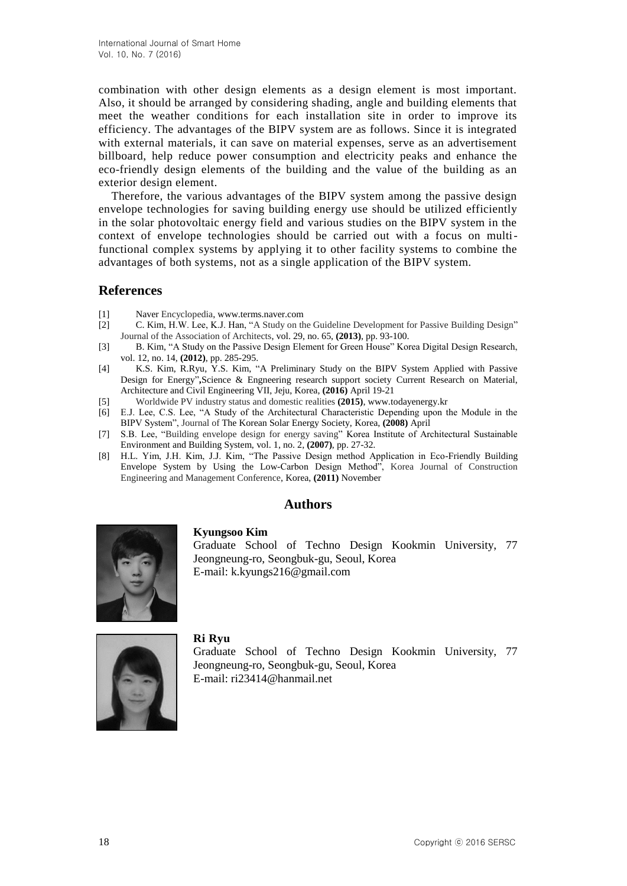combination with other design elements as a design element is most important. Also, it should be arranged by considering shading, angle and building elements that meet the weather conditions for each installation site in order to improve its efficiency. The advantages of the BIPV system are as follows. Since it is integrated with external materials, it can save on material expenses, serve as an advertisement billboard, help reduce power consumption and electricity peaks and enhance the eco-friendly design elements of the building and the value of the building as an exterior design element.

Therefore, the various advantages of the BIPV system among the passive design envelope technologies for saving building energy use should be utilized efficiently in the solar photovoltaic energy field and various studies on the BIPV system in the context of envelope technologies should be carried out with a focus on multifunctional complex systems by applying it to other facility systems to combine the advantages of both systems, not as a single application of the BIPV system.

## **References**

- [1] Naver Encyclopedia, www.terms.naver.com
- [2] C. Kim, H.W. Lee, K.J. Han, "A Study on the Guideline Development for Passive Building Design" Journal of the Association of Architects, vol. 29, no. 65, **(2013)**, pp. 93-100.
- [3] B. Kim, "A Study on the Passive Design Element for Green House" Korea Digital Design Research, vol. 12, no. 14, **(2012)**, pp. 285-295.
- [4] K.S. Kim, R.Ryu, Y.S. Kim, "A Preliminary Study on the BIPV System Applied with Passive Design for Energy"**,**Science & Engneering research support society Current Research on Material, Architecture and Civil Engineering VII, Jeju, Korea, **(2016)** April 19-21
- [5] Worldwide PV industry status and domestic realities **(2015)**, www.todayenergy.kr
- [6] E.J. Lee, C.S. Lee, "A Study of the Architectural Characteristic Depending upon the Module in the BIPV System", Journal of The Korean Solar Energy Society, Korea, **(2008)** April
- [7] S.B. Lee, "Building envelope design for energy saving" Korea Institute of Architectural Sustainable Environment and Building System, vol. 1, no. 2, **(2007)**, pp. 27-32.
- [8] H.L. Yim, J.H. Kim, J.J. Kim, "The Passive Design method Application in Eco-Friendly Building Envelope System by Using the Low-Carbon Design Method", Korea Journal of Construction Engineering and Management Conference, Korea, **(2011)** November

# **Authors**



Graduate School of Techno Design Kookmin University, 77 Jeongneung-ro, Seongbuk-gu, Seoul, Korea E-mail: k.kyungs216@gmail.com



**Ri Ryu**

**Kyungsoo Kim**

Graduate School of Techno Design Kookmin University, 77 Jeongneung-ro, Seongbuk-gu, Seoul, Korea E-mail: ri23414@hanmail.net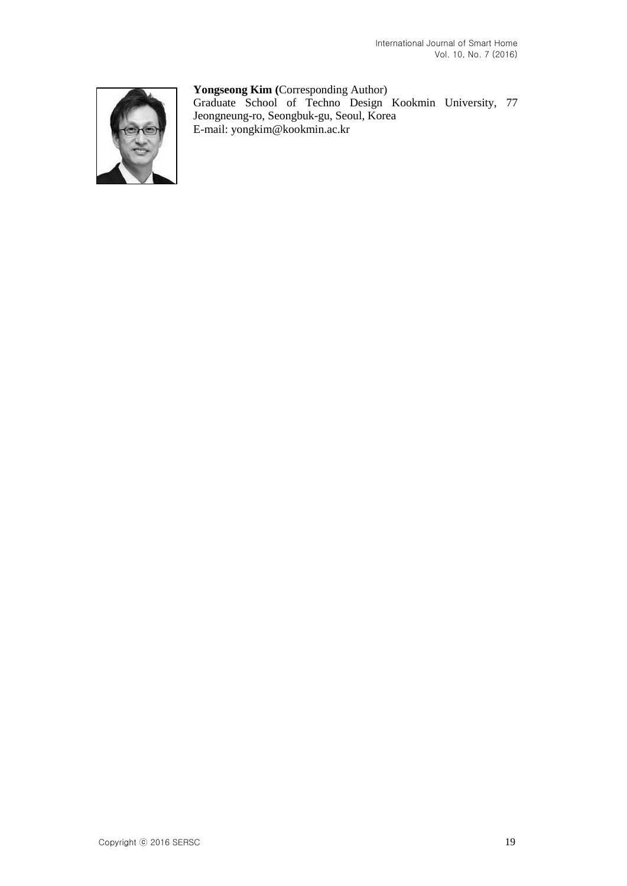### **Yongseong Kim (**Corresponding Author)



Graduate School of Techno Design Kookmin University, 77 Jeongneung-ro, Seongbuk-gu, Seoul, Korea E-mail: yongkim@kookmin.ac.kr